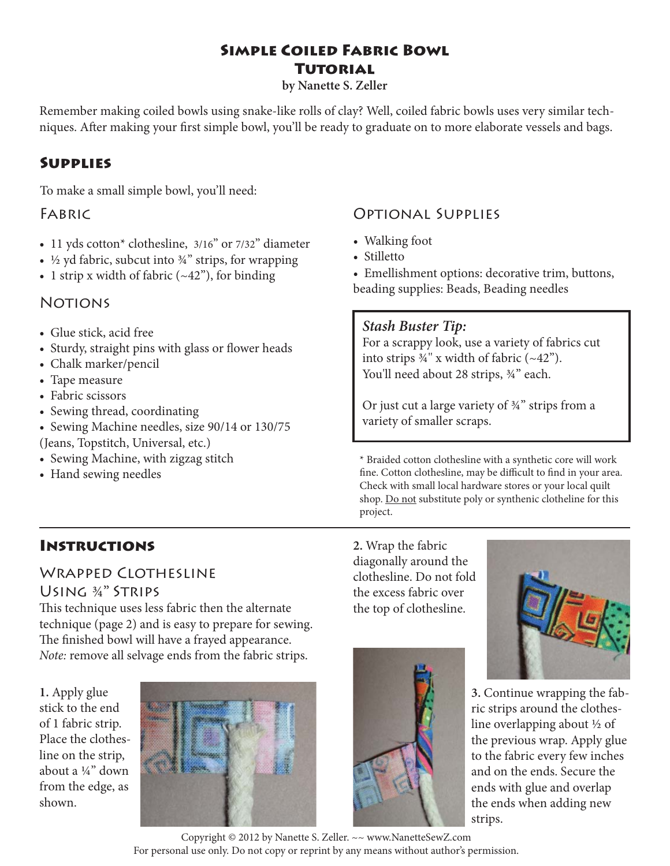# **Simple Coiled Fabric Bowl TUTORIAL**

**by Nanette S. Zeller**

Remember making coiled bowls using snake-like rolls of clay? Well, coiled fabric bowls uses very similar techniques. After making your first simple bowl, you'll be ready to graduate on to more elaborate vessels and bags.

# **Supplies**

To make a small simple bowl, you'll need:

# FABRIC

- 11 yds cotton\* clothesline, 3/16" or 7/32" diameter
- $\frac{1}{2}$  yd fabric, subcut into  $\frac{3}{4}$ " strips, for wrapping
- 1 strip x width of fabric  $(-42)$ , for binding

# **NOTIONS**

- Glue stick, acid free
- Sturdy, straight pins with glass or flower heads
- Chalk marker/pencil
- Tape measure
- Fabric scissors
- Sewing thread, coordinating
- Sewing Machine needles, size 90/14 or 130/75 (Jeans, Topstitch, Universal, etc.)
- Sewing Machine, with zigzag stitch
- Hand sewing needles

# **Instructions**

# WRAPPED CLOTHESLINE

## Using ¾" Strips

This technique uses less fabric then the alternate technique (page 2) and is easy to prepare for sewing. The finished bowl will have a frayed appearance. *Note:* remove all selvage ends from the fabric strips.

**1.** Apply glue stick to the end of 1 fabric strip. Place the clothesline on the strip, about a ¼" down from the edge, as shown.



# Optional Supplies

- Walking foot
- Stilletto
- Emellishment options: decorative trim, buttons, beading supplies: Beads, Beading needles

## *Stash Buster Tip:*

For a scrappy look, use a variety of fabrics cut into strips  $\frac{3}{4}$ " x width of fabric (~42"). You'll need about 28 strips,  $\frac{3}{4}$ " each.

Or just cut a large variety of ¾" strips from a variety of smaller scraps.

\* Braided cotton clothesline with a synthetic core will work fine. Cotton clothesline, may be difficult to find in your area. Check with small local hardware stores or your local quilt shop. Do not substitute poly or synthenic clotheline for this project.

**2.** Wrap the fabric diagonally around the clothesline. Do not fold the excess fabric over the top of clothesline.



**3.** Continue wrapping the fabric strips around the clothesline overlapping about ½ of the previous wrap. Apply glue to the fabric every few inches and on the ends. Secure the ends with glue and overlap the ends when adding new strips.

Copyright © 2012 by Nanette S. Zeller. ~~ www.NanetteSewZ.com For personal use only. Do not copy or reprint by any means without author's permission.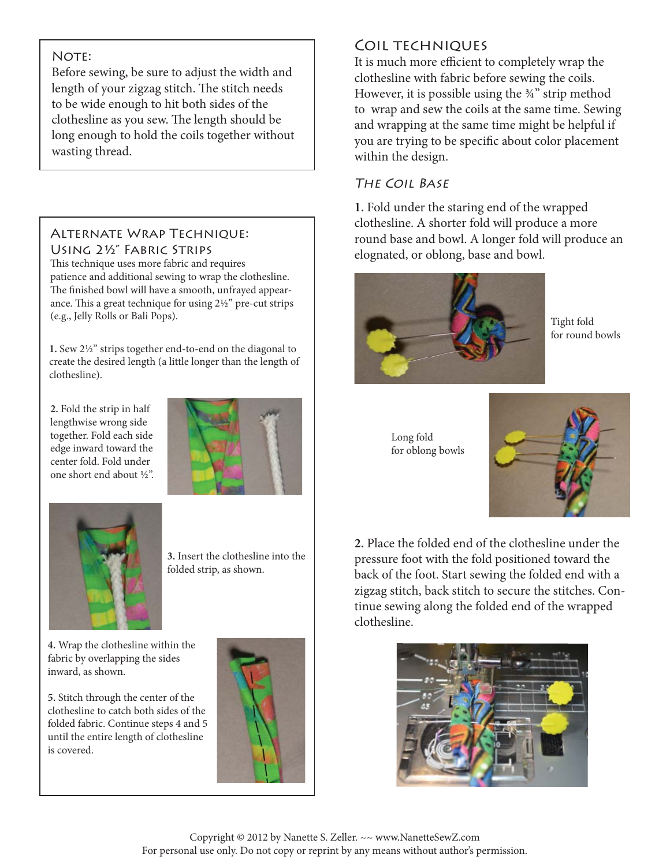#### NOTE:

Before sewing, be sure to adjust the width and length of your zigzag stitch. The stitch needs to be wide enough to hit both sides of the clothesline as you sew. The length should be long enough to hold the coils together without wasting thread.

#### Alternate Wrap Technique: Using 2½" Fabric Strips

This technique uses more fabric and requires patience and additional sewing to wrap the clothesline. The finished bowl will have a smooth, unfrayed appearance. This a great technique for using  $2\frac{1}{2}$ " pre-cut strips (e.g., Jelly Rolls or Bali Pops).

**1.** Sew 2½" strips together end-to-end on the diagonal to create the desired length (a little longer than the length of clothesline).

**2.** Fold the strip in half lengthwise wrong side together. Fold each side edge inward toward the center fold. Fold under one short end about ½".





**3.** Insert the clothesline into the folded strip, as shown.

**4.** Wrap the clothesline within the fabric by overlapping the sides inward, as shown.

**5.** Stitch through the center of the clothesline to catch both sides of the folded fabric. Continue steps 4 and 5 until the entire length of clothesline is covered.



# Coil techniques

It is much more efficient to completely wrap the clothesline with fabric before sewing the coils. However, it is possible using the ¾" strip method to wrap and sew the coils at the same time. Sewing and wrapping at the same time might be helpful if you are trying to be specific about color placement within the design.

### The Coil Base

**1.** Fold under the staring end of the wrapped clothesline. A shorter fold will produce a more round base and bowl. A longer fold will produce an elognated, or oblong, base and bowl.



Tight fold for round bowls

Long fold for oblong bowls



**2.** Place the folded end of the clothesline under the pressure foot with the fold positioned toward the back of the foot. Start sewing the folded end with a zigzag stitch, back stitch to secure the stitches. Continue sewing along the folded end of the wrapped clothesline.



Copyright © 2012 by Nanette S. Zeller. ~~ www.NanetteSewZ.com For personal use only. Do not copy or reprint by any means without author's permission.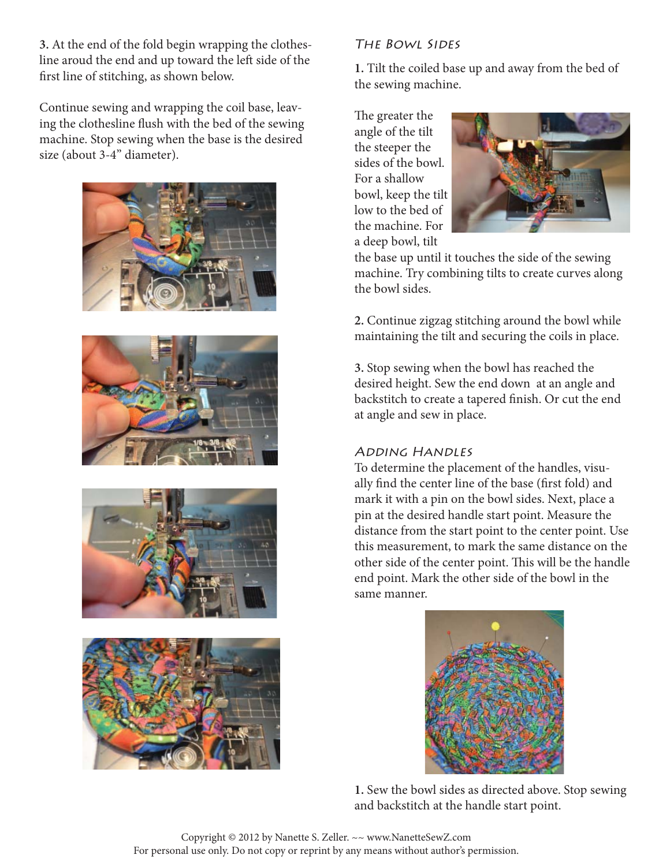**3.** At the end of the fold begin wrapping the clothesline aroud the end and up toward the left side of the first line of stitching, as shown below.

Continue sewing and wrapping the coil base, leaving the clothesline flush with the bed of the sewing machine. Stop sewing when the base is the desired size (about 3-4" diameter).









## The Bowl Sides

**1.** Tilt the coiled base up and away from the bed of the sewing machine.

The greater the angle of the tilt the steeper the sides of the bowl. For a shallow bowl, keep the tilt low to the bed of the machine. For a deep bowl, tilt



the base up until it touches the side of the sewing machine. Try combining tilts to create curves along the bowl sides.

**2.** Continue zigzag stitching around the bowl while maintaining the tilt and securing the coils in place.

**3.** Stop sewing when the bowl has reached the desired height. Sew the end down at an angle and backstitch to create a tapered finish. Or cut the end at angle and sew in place.

#### Adding Handles

To determine the placement of the handles, visually find the center line of the base (first fold) and mark it with a pin on the bowl sides. Next, place a pin at the desired handle start point. Measure the distance from the start point to the center point. Use this measurement, to mark the same distance on the other side of the center point. This will be the handle end point. Mark the other side of the bowl in the same manner.



**1.** Sew the bowl sides as directed above. Stop sewing and backstitch at the handle start point.

Copyright © 2012 by Nanette S. Zeller. ~~ www.NanetteSewZ.com For personal use only. Do not copy or reprint by any means without author's permission.